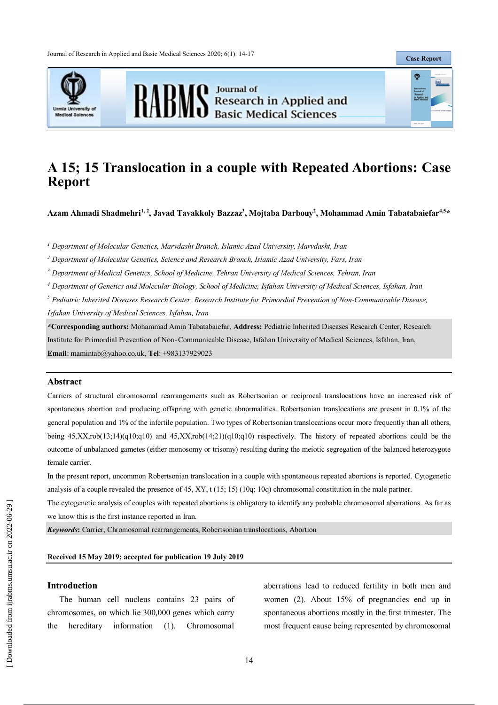Journal of Research in Applied and Basic Medical Sciences 2020; 6(1): 14-17





RABMS Besearch in Applied and

**Case Report**

 $\Phi$ 

# **A 15; 15 Translocation in a couple with Repeated Abortions: Case Report**

Azam Ahmadi Shadmehri<sup>1,2</sup>, Javad Tavakkoly Bazzaz<sup>3</sup>, Mojtaba Darbouy<sup>2</sup>, Mohammad Amin Tabatabaiefar<sup>4,5</sup>\*

*<sup>1</sup> Department of Molecular Genetics, Marvdasht Branch, Islamic Azad University, Marvdasht, Iran*

*<sup>2</sup> Department of Molecular Genetics, Science and Research Branch, Islamic Azad University, Fars, Iran*

*<sup>3</sup> Department of Medical Genetics, School of Medicine, Tehran University of Medical Sciences, Tehran, Iran*

*<sup>4</sup> Department of Genetics and Molecular Biology, School of Medicine, Isfahan University of Medical Sciences, Isfahan, Iran*

*<sup>5</sup> Pediatric Inherited Diseases Research Center, Research Institute for Primordial Prevention of Non‐Communicable Disease, Isfahan University of Medical Sciences, Isfahan, Iran*

**\*Corresponding authors:** Mohammad Amin Tabatabaiefar, **Address:** Pediatric Inherited Diseases Research Center, Research Institute for Primordial Prevention of Non‐Communicable Disease, Isfahan University of Medical Sciences, Isfahan, Iran, **Email**: mamintab@yahoo.co.uk, **Tel**: +983137929023

#### **Abstract**

Carriers of structural chromosomal rearrangements such as Robertsonian or reciprocal translocations have an increased risk of spontaneous abortion and producing offspring with genetic abnormalities. Robertsonian translocations are present in 0.1% of the general population and 1% of the infertile population. Two types of Robertsonian translocations occur more frequently than all others, being 45,XX,rob(13;14)(q10;q10) and 45,XX,rob(14;21)(q10;q10) respectively. The history of repeated abortions could be the outcome of unbalanced gametes (either monosomy or trisomy) resulting during the meiotic segregation of the balanced heterozygote female carrier.

In the present report, uncommon Robertsonian translocation in a couple with spontaneous repeated abortions is reported. Cytogenetic analysis of a couple revealed the presence of 45, XY, t (15; 15) (10q; 10q) chromosomal constitution in the male partner.

The cytogenetic analysis of couples with repeated abortions is obligatory to identify any probable chromosomal aberrations. As far as we know this is the first instance reported in Iran.

*Keywords***:** Carrier, Chromosomal rearrangements, Robertsonian translocations, Abortion

# **Received 15 May 2019; accepted for publication 19 July 2019**

### **Introduction**

The human cell nucleus contains 23 pairs of chromosomes, on which lie 300,000 genes which carry the hereditary information (1). Chromosomal

aberrations lead to reduced fertility in both men and women (2). About 15% of pregnancies end up in spontaneous abortions mostly in the first trimester. The most frequent cause being represented by chromosomal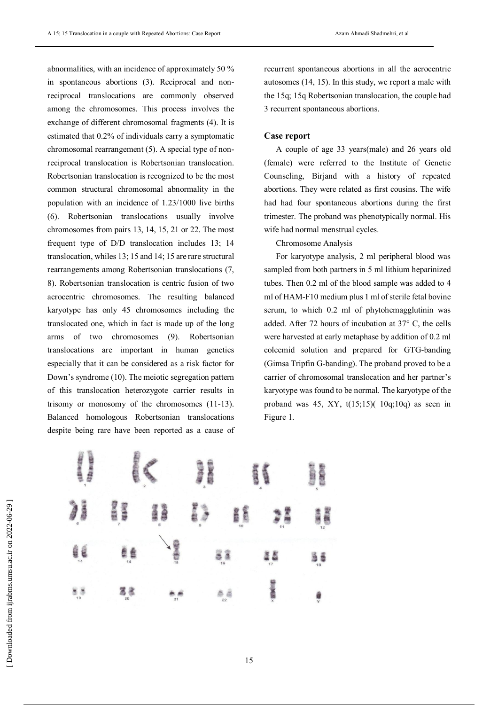abnormalities, with an incidence of approximately 50 % in spontaneous abortions (3). Reciprocal and nonreciprocal translocations are commonly observed among the chromosomes. This process involves the exchange of different chromosomal fragments (4). It is estimated that 0.2% of individuals carry a symptomatic chromosomal rearrangement (5). A special type of nonreciprocal translocation is Robertsonian translocation. Robertsonian translocation is recognized to be the most common structural chromosomal abnormality in the population with an incidence of 1.23/1000 live births (6). Robertsonian translocations usually involve chromosomes from pairs 13, 14, 15, 21 or 22. The most frequent type of D/D translocation includes 13; 14 translocation, whiles 13; 15 and 14; 15 are rare structural rearrangements among Robertsonian translocations (7, 8). Robertsonian translocation is centric fusion of two acrocentric chromosomes. The resulting balanced karyotype has only 45 chromosomes including the translocated one, which in fact is made up of the long arms of two chromosomes (9). Robertsonian translocations are important in human genetics especially that it can be considered as a risk factor for Down's syndrome (10). The meiotic segregation pattern of this translocation heterozygote carrier results in trisomy or monosomy of the chromosomes (11-13). Balanced homologous Robertsonian translocations despite being rare have been reported as a cause of recurrent spontaneous abortions in all the acrocentric autosomes (14, 15). In this study, we report a male with the 15q; 15q Robertsonian translocation, the couple had 3 recurrent spontaneous abortions.

#### **Case report**

A couple of age 33 years(male) and 26 years old (female) were referred to the Institute of Genetic Counseling, Birjand with a history of repeated abortions. They were related as first cousins. The wife had had four spontaneous abortions during the first trimester. The proband was phenotypically normal. His wife had normal menstrual cycles.

Chromosome Analysis

For karyotype analysis, 2 ml peripheral blood was sampled from both partners in 5 ml lithium heparinized tubes. Then 0.2 ml of the blood sample was added to 4 ml of HAM-F10 medium plus 1 ml of sterile fetal bovine serum, to which 0.2 ml of phytohemagglutinin was added. After 72 hours of incubation at 37° C, the cells were harvested at early metaphase by addition of 0.2 ml colcemid solution and prepared for GTG-banding (Gimsa Tripfin G-banding). The proband proved to be a carrier of chromosomal translocation and her partner's karyotype was found to be normal. The karyotype of the proband was 45, XY,  $t(15;15)$ ( $10q;10q$ ) as seen in Figure 1.

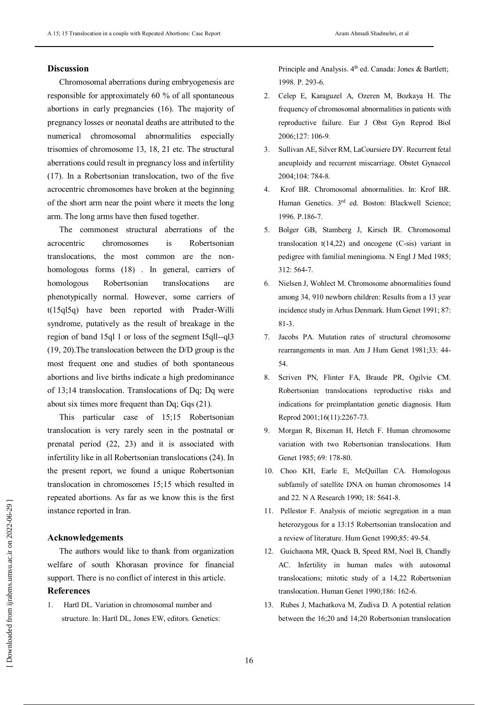## **Discussion**

Chromosomal aberrations during embryogenesis are responsible for approximately 60 % of all spontaneous abortions in early pregnancies (16). The majority of pregnancy losses or neonatal deaths are attributed to the numerical chromosomal abnormalities especially trisomies of chromosome 13, 18, 21 etc. The structural aberrations could result in pregnancy loss and infertility (17). In a Robertsonian translocation, two of the five acrocentric chromosomes have broken at the beginning of the short arm near the point where it meets the long arm. The long arms have then fused together.

The commonest structural aberrations of the acrocentric chromosomes is Robertsonian translocations, the most common are the nonhomologous forms (18) . In general, carriers of homologous Robertsonian translocations are phenotypically normal. However, some carriers of t(15ql5q) have been reported with Prader-Willi syndrome, putatively as the result of breakage in the region of band 15ql 1 or loss of the segment I5qll--ql3 (19, 20).The translocation between the D/D group is the most frequent one and studies of both spontaneous abortions and live births indicate a high predominance of 13;14 translocation. Translocations of Dq; Dq were about six times more frequent than Dq; Gqs (21).

This particular case of 15;15 Robertsonian translocation is very rarely seen in the postnatal or prenatal period (22, 23) and it is associated with infertility like in all Robertsonian translocations (24). In the present report, we found a unique Robertsonian translocation in chromosomes 15;15 which resulted in repeated abortions. As far as we know this is the first instance reported in Iran.

## **Acknowledgements**

The authors would like to thank from organization welfare of south Khorasan province for financial support. There is no conflict of interest in this article. **References**

1. Hartl DL. Variation in chromosomal number and structure. In: Hartl DL, Jones EW, editors. Genetics: Principle and Analysis. 4<sup>th</sup> ed. Canada: Jones & Bartlett; 1998. P. 293-6.

- 2. Celep E, Karaguzel A, Ozeren M, Bozkaya H. The frequency of chromosomal abnormalities in patients with reproductive failure. Eur J Obst Gyn Reprod Biol 2006;127: 106-9.
- 3. Sullivan AE, Silver RM, LaCoursiere DY. Recurrent fetal aneuploidy and recurrent miscarriage. Obstet Gynaecol 2004;104: 784-8.
- 4. Krof BR. Chromosomal abnormalities. In: Krof BR. Human Genetics. 3<sup>rd</sup> ed. Boston: Blackwell Science; 1996. P.186-7.
- 5. Bolger GB, Stamberg J, Kirsch IR. Chromosomal translocation t(14,22) and oncogene (C-sis) variant in pedigree with familial meningioma. N Engl J Med 1985; 312: 564-7.
- 6. Nielsen J, Wohlect M. Chromosome abnormalities found among 34, 910 newborn children: Results from a 13 year incidence study in Arhus Denmark. Hum Genet 1991; 87: 81-3.
- 7. Jacobs PA. Mutation rates of structural chromosome rearrangements in man. Am J Hum Genet 1981;33: 44- 54.
- 8. Scriven PN, Flinter FA, Braude PR, Ogilvie CM. Robertsonian translocations reproductive risks and indications for preimplantation genetic diagnosis. Hum Reprod 2001;16(11):2267-73.
- 9. Morgan R, Bixeman H, Hetch F. Human chromosome variation with two Robertsonian translocations. Hum Genet 1985; 69: 178-80.
- 10. Choo KH, Earle E, McQuillan CA. Homologous subfamily of satellite DNA on human chromosomes 14 and 22. N A Research 1990; 18: 5641-8.
- 11. Pellestor F. Analysis of meiotic segregation in a man heterozygous for a 13:15 Robertsonian translocation and a review of literature. Hum Genet 1990;85: 49-54.
- 12. Guichaona MR, Quack B, Speed RM, Noel B, Chandly AC. Infertility in human males with autosomal translocations; mitotic study of a 14,22 Robertsonian translocation. Human Genet 1990;186: 162-6.
- 13. Rubes J, Machatkova M, Zudiva D. A potential relation between the 16;20 and 14;20 Robertsonian translocation